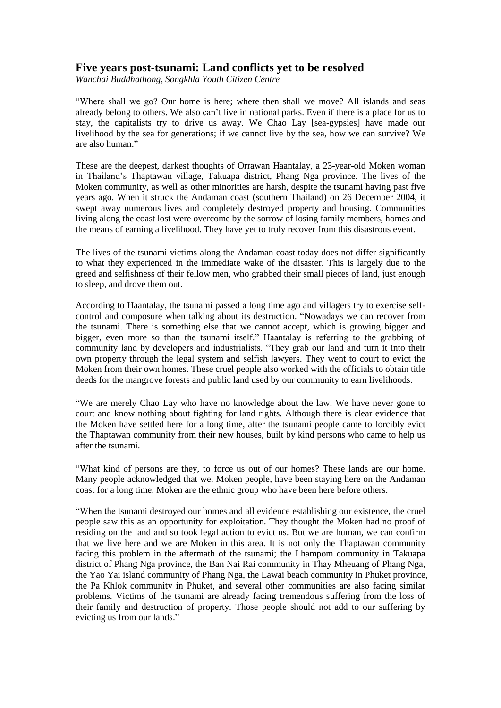## **Five years post-tsunami: Land conflicts yet to be resolved**

*Wanchai Buddhathong, Songkhla Youth Citizen Centre*

"Where shall we go? Our home is here; where then shall we move? All islands and seas already belong to others. We also can't live in national parks. Even if there is a place for us to stay, the capitalists try to drive us away. We Chao Lay [sea-gypsies] have made our livelihood by the sea for generations; if we cannot live by the sea, how we can survive? We are also human."

These are the deepest, darkest thoughts of Orrawan Haantalay, a 23-year-old Moken woman in Thailand's Thaptawan village, Takuapa district, Phang Nga province. The lives of the Moken community, as well as other minorities are harsh, despite the tsunami having past five years ago. When it struck the Andaman coast (southern Thailand) on 26 December 2004, it swept away numerous lives and completely destroyed property and housing. Communities living along the coast lost were overcome by the sorrow of losing family members, homes and the means of earning a livelihood. They have yet to truly recover from this disastrous event.

The lives of the tsunami victims along the Andaman coast today does not differ significantly to what they experienced in the immediate wake of the disaster. This is largely due to the greed and selfishness of their fellow men, who grabbed their small pieces of land, just enough to sleep, and drove them out.

According to Haantalay, the tsunami passed a long time ago and villagers try to exercise selfcontrol and composure when talking about its destruction. "Nowadays we can recover from the tsunami. There is something else that we cannot accept, which is growing bigger and bigger, even more so than the tsunami itself." Haantalay is referring to the grabbing of community land by developers and industrialists. "They grab our land and turn it into their own property through the legal system and selfish lawyers. They went to court to evict the Moken from their own homes. These cruel people also worked with the officials to obtain title deeds for the mangrove forests and public land used by our community to earn livelihoods.

"We are merely Chao Lay who have no knowledge about the law. We have never gone to court and know nothing about fighting for land rights. Although there is clear evidence that the Moken have settled here for a long time, after the tsunami people came to forcibly evict the Thaptawan community from their new houses, built by kind persons who came to help us after the tsunami.

"What kind of persons are they, to force us out of our homes? These lands are our home. Many people acknowledged that we, Moken people, have been staying here on the Andaman coast for a long time. Moken are the ethnic group who have been here before others.

"When the tsunami destroyed our homes and all evidence establishing our existence, the cruel people saw this as an opportunity for exploitation. They thought the Moken had no proof of residing on the land and so took legal action to evict us. But we are human, we can confirm that we live here and we are Moken in this area. It is not only the Thaptawan community facing this problem in the aftermath of the tsunami; the Lhampom community in Takuapa district of Phang Nga province, the Ban Nai Rai community in Thay Mheuang of Phang Nga, the Yao Yai island community of Phang Nga, the Lawai beach community in Phuket province, the Pa Khlok community in Phuket, and several other communities are also facing similar problems. Victims of the tsunami are already facing tremendous suffering from the loss of their family and destruction of property. Those people should not add to our suffering by evicting us from our lands."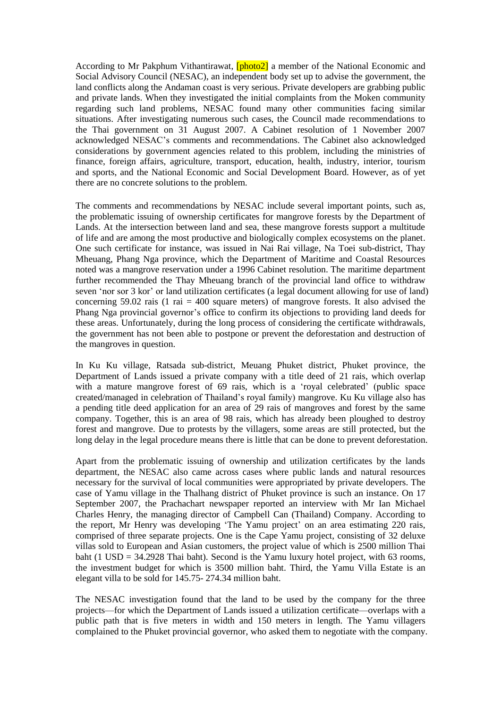According to Mr Pakphum Vithantirawat, **[photo2]** a member of the National Economic and Social Advisory Council (NESAC), an independent body set up to advise the government, the land conflicts along the Andaman coast is very serious. Private developers are grabbing public and private lands. When they investigated the initial complaints from the Moken community regarding such land problems, NESAC found many other communities facing similar situations. After investigating numerous such cases, the Council made recommendations to the Thai government on 31 August 2007. A Cabinet resolution of 1 November 2007 acknowledged NESAC's comments and recommendations. The Cabinet also acknowledged considerations by government agencies related to this problem, including the ministries of finance, foreign affairs, agriculture, transport, education, health, industry, interior, tourism and sports, and the National Economic and Social Development Board. However, as of yet there are no concrete solutions to the problem.

The comments and recommendations by NESAC include several important points, such as, the problematic issuing of ownership certificates for mangrove forests by the Department of Lands. At the intersection between land and sea, these mangrove forests support a multitude of life and are among the most productive and biologically complex ecosystems on the planet. One such certificate for instance, was issued in Nai Rai village, Na Toei sub-district, Thay Mheuang, Phang Nga province, which the Department of Maritime and Coastal Resources noted was a mangrove reservation under a 1996 Cabinet resolution. The maritime department further recommended the Thay Mheuang branch of the provincial land office to withdraw seven 'nor sor 3 kor' or land utilization certificates (a legal document allowing for use of land) concerning 59.02 rais (1 rai  $=$  400 square meters) of mangrove forests. It also advised the Phang Nga provincial governor's office to confirm its objections to providing land deeds for these areas. Unfortunately, during the long process of considering the certificate withdrawals, the government has not been able to postpone or prevent the deforestation and destruction of the mangroves in question.

In Ku Ku village, Ratsada sub-district, Meuang Phuket district, Phuket province, the Department of Lands issued a private company with a title deed of 21 rais, which overlap with a mature mangrove forest of 69 rais, which is a 'royal celebrated' (public space created/managed in celebration of Thailand's royal family) mangrove. Ku Ku village also has a pending title deed application for an area of 29 rais of mangroves and forest by the same company. Together, this is an area of 98 rais, which has already been ploughed to destroy forest and mangrove. Due to protests by the villagers, some areas are still protected, but the long delay in the legal procedure means there is little that can be done to prevent deforestation.

Apart from the problematic issuing of ownership and utilization certificates by the lands department, the NESAC also came across cases where public lands and natural resources necessary for the survival of local communities were appropriated by private developers. The case of Yamu village in the Thalhang district of Phuket province is such an instance. On 17 September 2007, the Prachachart newspaper reported an interview with Mr Ian Michael Charles Henry, the managing director of Campbell Can (Thailand) Company. According to the report, Mr Henry was developing 'The Yamu project' on an area estimating 220 rais, comprised of three separate projects. One is the Cape Yamu project, consisting of 32 deluxe villas sold to European and Asian customers, the project value of which is 2500 million Thai baht (1 USD = 34.2928 Thai baht). Second is the Yamu luxury hotel project, with 63 rooms, the investment budget for which is 3500 million baht. Third, the Yamu Villa Estate is an elegant villa to be sold for 145.75- 274.34 million baht.

The NESAC investigation found that the land to be used by the company for the three projects—for which the Department of Lands issued a utilization certificate—overlaps with a public path that is five meters in width and 150 meters in length. The Yamu villagers complained to the Phuket provincial governor, who asked them to negotiate with the company.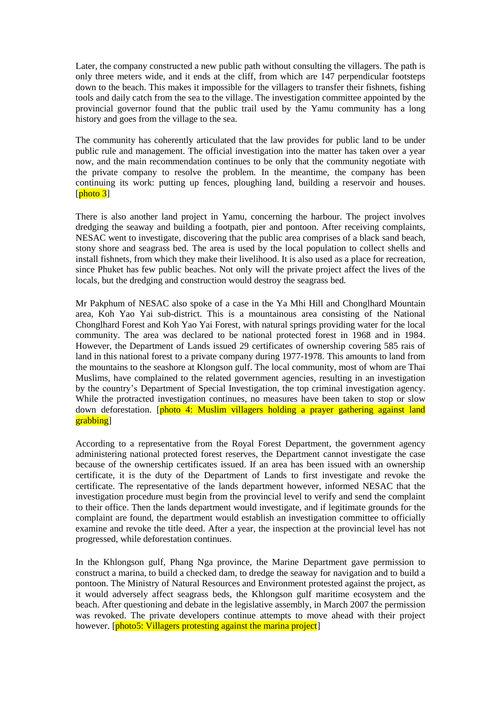Later, the company constructed a new public path without consulting the villagers. The path is only three meters wide, and it ends at the cliff, from which are 147 perpendicular footsteps down to the beach. This makes it impossible for the villagers to transfer their fishnets, fishing tools and daily catch from the sea to the village. The investigation committee appointed by the provincial governor found that the public trail used by the Yamu community has a long history and goes from the village to the sea.

The community has coherently articulated that the law provides for public land to be under public rule and management. The official investigation into the matter has taken over a year now, and the main recommendation continues to be only that the community negotiate with the private company to resolve the problem. In the meantime, the company has been continuing its work: putting up fences, ploughing land, building a reservoir and houses. [ $photo$  3]

There is also another land project in Yamu, concerning the harbour. The project involves dredging the seaway and building a footpath, pier and pontoon. After receiving complaints, NESAC went to investigate, discovering that the public area comprises of a black sand beach, stony shore and seagrass bed. The area is used by the local population to collect shells and install fishnets, from which they make their livelihood. It is also used as a place for recreation, since Phuket has few public beaches. Not only will the private project affect the lives of the locals, but the dredging and construction would destroy the seagrass bed.

Mr Pakphum of NESAC also spoke of a case in the Ya Mhi Hill and Chonglhard Mountain area, Koh Yao Yai sub-district. This is a mountainous area consisting of the National Chonglhard Forest and Koh Yao Yai Forest, with natural springs providing water for the local community. The area was declared to be national protected forest in 1968 and in 1984. However, the Department of Lands issued 29 certificates of ownership covering 585 rais of land in this national forest to a private company during 1977-1978. This amounts to land from the mountains to the seashore at Klongson gulf. The local community, most of whom are Thai Muslims, have complained to the related government agencies, resulting in an investigation by the country's Department of Special Investigation, the top criminal investigation agency. While the protracted investigation continues, no measures have been taken to stop or slow down deforestation. [photo 4: Muslim villagers holding a prayer gathering against land grabbing]

According to a representative from the Royal Forest Department, the government agency administering national protected forest reserves, the Department cannot investigate the case because of the ownership certificates issued. If an area has been issued with an ownership certificate, it is the duty of the Department of Lands to first investigate and revoke the certificate. The representative of the lands department however, informed NESAC that the investigation procedure must begin from the provincial level to verify and send the complaint to their office. Then the lands department would investigate, and if legitimate grounds for the complaint are found, the department would establish an investigation committee to officially examine and revoke the title deed. After a year, the inspection at the provincial level has not progressed, while deforestation continues.

In the Khlongson gulf, Phang Nga province, the Marine Department gave permission to construct a marina, to build a checked dam, to dredge the seaway for navigation and to build a pontoon. The Ministry of Natural Resources and Environment protested against the project, as it would adversely affect seagrass beds, the Khlongson gulf maritime ecosystem and the beach. After questioning and debate in the legislative assembly, in March 2007 the permission was revoked. The private developers continue attempts to move ahead with their project however. [photo5: Villagers protesting against the marina project]